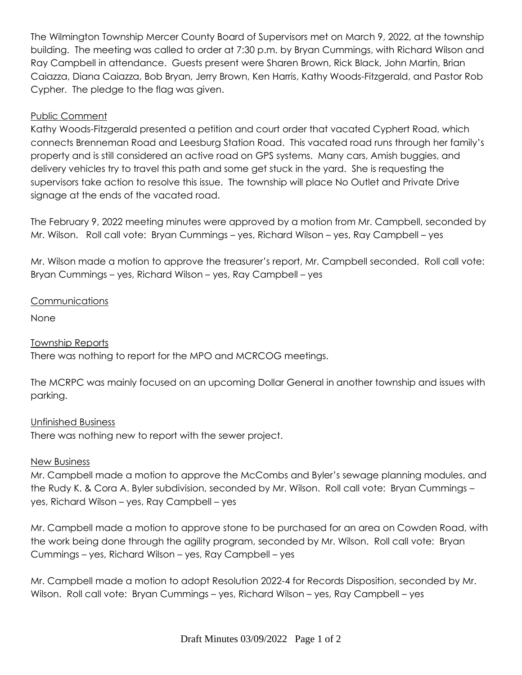The Wilmington Township Mercer County Board of Supervisors met on March 9, 2022, at the township building. The meeting was called to order at 7:30 p.m. by Bryan Cummings, with Richard Wilson and Ray Campbell in attendance. Guests present were Sharen Brown, Rick Black, John Martin, Brian Caiazza, Diana Caiazza, Bob Bryan, Jerry Brown, Ken Harris, Kathy Woods-Fitzgerald, and Pastor Rob Cypher. The pledge to the flag was given.

# Public Comment

Kathy Woods-Fitzgerald presented a petition and court order that vacated Cyphert Road, which connects Brenneman Road and Leesburg Station Road. This vacated road runs through her family's property and is still considered an active road on GPS systems. Many cars, Amish buggies, and delivery vehicles try to travel this path and some get stuck in the yard. She is requesting the supervisors take action to resolve this issue. The township will place No Outlet and Private Drive signage at the ends of the vacated road.

The February 9, 2022 meeting minutes were approved by a motion from Mr. Campbell, seconded by Mr. Wilson. Roll call vote: Bryan Cummings – yes, Richard Wilson – yes, Ray Campbell – yes

Mr. Wilson made a motion to approve the treasurer's report, Mr. Campbell seconded. Roll call vote: Bryan Cummings – yes, Richard Wilson – yes, Ray Campbell – yes

## Communications

None

# Township Reports

There was nothing to report for the MPO and MCRCOG meetings.

The MCRPC was mainly focused on an upcoming Dollar General in another township and issues with parking.

## Unfinished Business

There was nothing new to report with the sewer project.

## New Business

Mr. Campbell made a motion to approve the McCombs and Byler's sewage planning modules, and the Rudy K. & Cora A. Byler subdivision, seconded by Mr. Wilson. Roll call vote: Bryan Cummings – yes, Richard Wilson – yes, Ray Campbell – yes

Mr. Campbell made a motion to approve stone to be purchased for an area on Cowden Road, with the work being done through the agility program, seconded by Mr. Wilson. Roll call vote: Bryan Cummings – yes, Richard Wilson – yes, Ray Campbell – yes

Mr. Campbell made a motion to adopt Resolution 2022-4 for Records Disposition, seconded by Mr. Wilson. Roll call vote: Bryan Cummings – yes, Richard Wilson – yes, Ray Campbell – yes